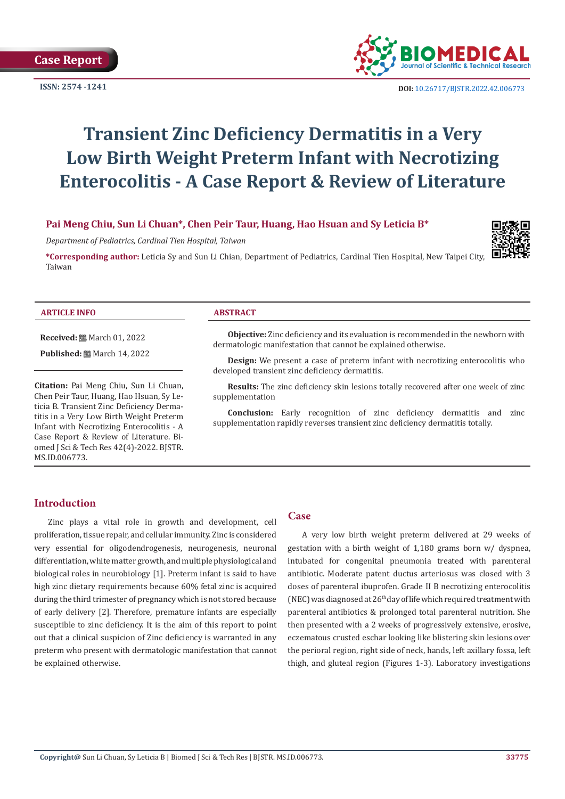

**ISSN:** 2574 -1241 **DOI:** [10.26717/BJSTR.2022.42.006773](https://dx.doi.org/10.26717/BJSTR.2022.42.006773)

# **Transient Zinc Deficiency Dermatitis in a Very Low Birth Weight Preterm Infant with Necrotizing Enterocolitis - A Case Report & Review of Literature**

# **Pai Meng Chiu, Sun Li Chuan\*, Chen Peir Taur, Huang, Hao Hsuan and Sy Leticia B\***

*Department of Pediatrics, Cardinal Tien Hospital, Taiwan*

**\*Corresponding author:** Leticia Sy and Sun Li Chian, Department of Pediatrics, Cardinal Tien Hospital, New Taipei City, Taiwan



#### **ARTICLE INFO ABSTRACT**

**Received:** March 01, 2022

**Published:** ■ March 14, 2022

**Citation:** Pai Meng Chiu, Sun Li Chuan, Chen Peir Taur, Huang, Hao Hsuan, Sy Leticia B. Transient Zinc Deficiency Dermatitis in a Very Low Birth Weight Preterm Infant with Necrotizing Enterocolitis - A Case Report & Review of Literature. Biomed J Sci & Tech Res 42(4)-2022. BJSTR. MS.ID.006773.

**Objective:** Zinc deficiency and its evaluation is recommended in the newborn with dermatologic manifestation that cannot be explained otherwise.

**Design:** We present a case of preterm infant with necrotizing enterocolitis who developed transient zinc deficiency dermatitis.

**Results:** The zinc deficiency skin lesions totally recovered after one week of zinc supplementation

**Conclusion:** Early recognition of zinc deficiency dermatitis and zinc supplementation rapidly reverses transient zinc deficiency dermatitis totally.

## **Introduction**

Zinc plays a vital role in growth and development, cell proliferation, tissue repair, and cellular immunity. Zinc is considered very essential for oligodendrogenesis, neurogenesis, neuronal differentiation, white matter growth, and multiple physiological and biological roles in neurobiology [1]. Preterm infant is said to have high zinc dietary requirements because 60% fetal zinc is acquired during the third trimester of pregnancy which is not stored because of early delivery [2]. Therefore, premature infants are especially susceptible to zinc deficiency. It is the aim of this report to point out that a clinical suspicion of Zinc deficiency is warranted in any preterm who present with dermatologic manifestation that cannot be explained otherwise.

#### **Case**

A very low birth weight preterm delivered at 29 weeks of gestation with a birth weight of 1,180 grams born w/ dyspnea, intubated for congenital pneumonia treated with parenteral antibiotic. Moderate patent ductus arteriosus was closed with 3 doses of parenteral ibuprofen. Grade II B necrotizing enterocolitis (NEC) was diagnosed at  $26<sup>th</sup>$  day of life which required treatment with parenteral antibiotics & prolonged total parenteral nutrition. She then presented with a 2 weeks of progressively extensive, erosive, eczematous crusted eschar looking like blistering skin lesions over the perioral region, right side of neck, hands, left axillary fossa, left thigh, and gluteal region (Figures 1-3). Laboratory investigations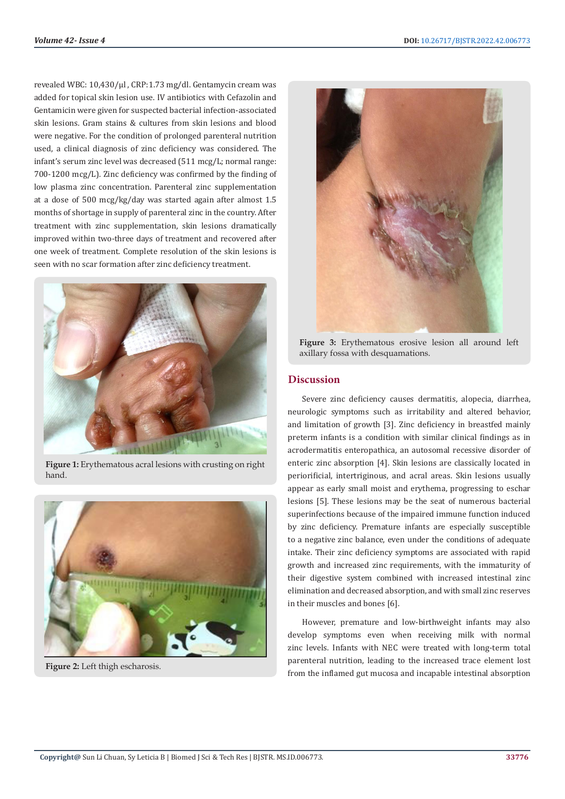revealed WBC: 10,430/μl , CRP:1.73 mg/dl. Gentamycin cream was added for topical skin lesion use. IV antibiotics with Cefazolin and Gentamicin were given for suspected bacterial infection-associated skin lesions. Gram stains & cultures from skin lesions and blood were negative. For the condition of prolonged parenteral nutrition used, a clinical diagnosis of zinc deficiency was considered. The infant's serum zinc level was decreased (511 mcg/L; normal range: 700-1200 mcg/L). Zinc deficiency was confirmed by the finding of low plasma zinc concentration. Parenteral zinc supplementation at a dose of 500 mcg/kg/day was started again after almost 1.5 months of shortage in supply of parenteral zinc in the country. After treatment with zinc supplementation, skin lesions dramatically improved within two-three days of treatment and recovered after one week of treatment. Complete resolution of the skin lesions is seen with no scar formation after zinc deficiency treatment.



**Figure 1:** Erythematous acral lesions with crusting on right hand.



**Figure 2:** Left thigh escharosis.



**Figure 3:** Erythematous erosive lesion all around left axillary fossa with desquamations.

# **Discussion**

Severe zinc deficiency causes dermatitis, alopecia, diarrhea, neurologic symptoms such as irritability and altered behavior, and limitation of growth [3]. Zinc deficiency in breastfed mainly preterm infants is a condition with similar clinical findings as in acrodermatitis enteropathica, an autosomal recessive disorder of enteric zinc absorption [4]. Skin lesions are classically located in periorificial, intertriginous, and acral areas. Skin lesions usually appear as early small moist and erythema, progressing to eschar lesions [5]. These lesions may be the seat of numerous bacterial superinfections because of the impaired immune function induced by zinc deficiency. Premature infants are especially susceptible to a negative zinc balance, even under the conditions of adequate intake. Their zinc deficiency symptoms are associated with rapid growth and increased zinc requirements, with the immaturity of their digestive system combined with increased intestinal zinc elimination and decreased absorption, and with small zinc reserves in their muscles and bones [6].

However, premature and low-birthweight infants may also develop symptoms even when receiving milk with normal zinc levels. Infants with NEC were treated with long-term total parenteral nutrition, leading to the increased trace element lost from the inflamed gut mucosa and incapable intestinal absorption